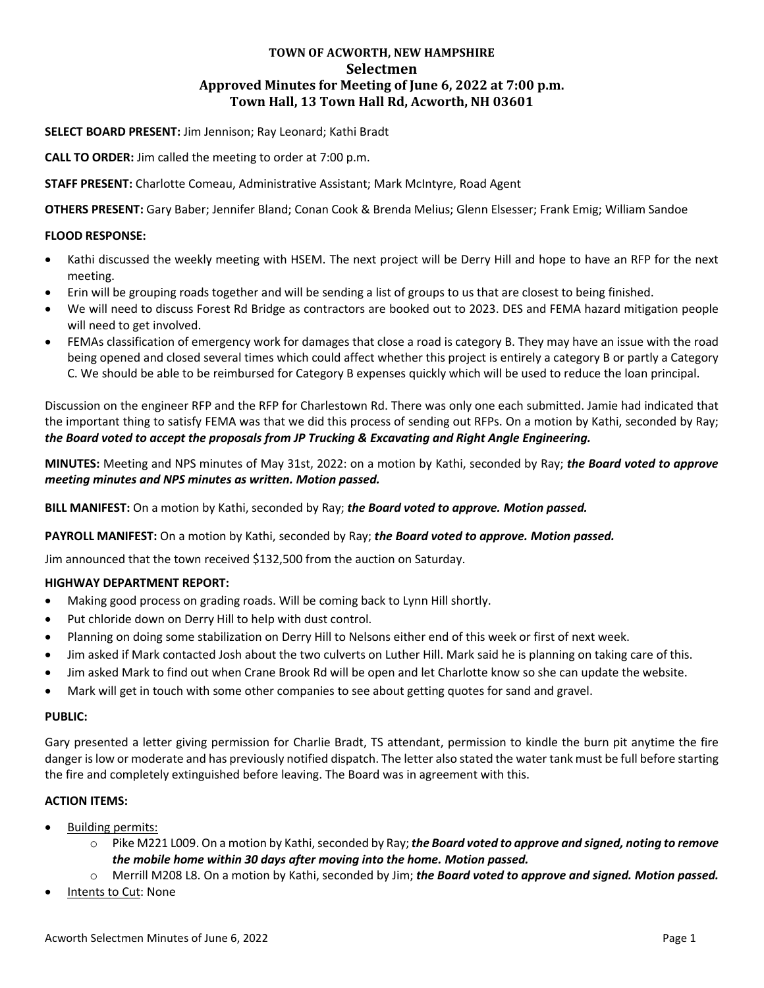# **TOWN OF ACWORTH, NEW HAMPSHIRE Selectmen Approved Minutes for Meeting of June 6, 2022 at 7:00 p.m. Town Hall, 13 Town Hall Rd, Acworth, NH 03601**

## **SELECT BOARD PRESENT:** Jim Jennison; Ray Leonard; Kathi Bradt

**CALL TO ORDER:** Jim called the meeting to order at 7:00 p.m.

## **STAFF PRESENT:** Charlotte Comeau, Administrative Assistant; Mark McIntyre, Road Agent

**OTHERS PRESENT:** Gary Baber; Jennifer Bland; Conan Cook & Brenda Melius; Glenn Elsesser; Frank Emig; William Sandoe

### **FLOOD RESPONSE:**

- Kathi discussed the weekly meeting with HSEM. The next project will be Derry Hill and hope to have an RFP for the next meeting.
- Erin will be grouping roads together and will be sending a list of groups to us that are closest to being finished.
- We will need to discuss Forest Rd Bridge as contractors are booked out to 2023. DES and FEMA hazard mitigation people will need to get involved.
- FEMAs classification of emergency work for damages that close a road is category B. They may have an issue with the road being opened and closed several times which could affect whether this project is entirely a category B or partly a Category C. We should be able to be reimbursed for Category B expenses quickly which will be used to reduce the loan principal.

Discussion on the engineer RFP and the RFP for Charlestown Rd. There was only one each submitted. Jamie had indicated that the important thing to satisfy FEMA was that we did this process of sending out RFPs. On a motion by Kathi, seconded by Ray; *the Board voted to accept the proposals from JP Trucking & Excavating and Right Angle Engineering.*

**MINUTES:** Meeting and NPS minutes of May 31st, 2022: on a motion by Kathi, seconded by Ray; *the Board voted to approve meeting minutes and NPS minutes as written. Motion passed.*

**BILL MANIFEST:** On a motion by Kathi, seconded by Ray; *the Board voted to approve. Motion passed.*

### **PAYROLL MANIFEST:** On a motion by Kathi, seconded by Ray; *the Board voted to approve. Motion passed.*

Jim announced that the town received \$132,500 from the auction on Saturday.

### **HIGHWAY DEPARTMENT REPORT:**

- Making good process on grading roads. Will be coming back to Lynn Hill shortly.
- Put chloride down on Derry Hill to help with dust control.
- Planning on doing some stabilization on Derry Hill to Nelsons either end of this week or first of next week.
- Jim asked if Mark contacted Josh about the two culverts on Luther Hill. Mark said he is planning on taking care of this.
- Jim asked Mark to find out when Crane Brook Rd will be open and let Charlotte know so she can update the website.
- Mark will get in touch with some other companies to see about getting quotes for sand and gravel.

### **PUBLIC:**

Gary presented a letter giving permission for Charlie Bradt, TS attendant, permission to kindle the burn pit anytime the fire danger is low or moderate and has previously notified dispatch. The letter also stated the water tank must be full before starting the fire and completely extinguished before leaving. The Board was in agreement with this.

### **ACTION ITEMS:**

- Building permits:
	- o Pike M221 L009. On a motion by Kathi, seconded by Ray; *the Board voted to approve and signed, noting to remove the mobile home within 30 days after moving into the home. Motion passed.*
	- o Merrill M208 L8. On a motion by Kathi, seconded by Jim; *the Board voted to approve and signed. Motion passed.*
- Intents to Cut: None